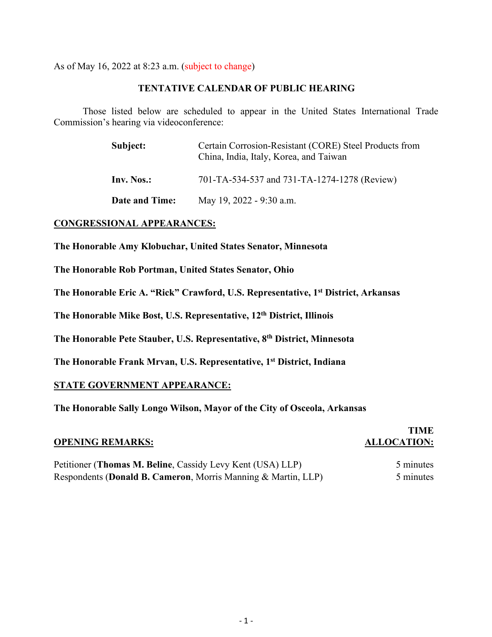As of May 16, 2022 at 8:23 a.m. (subject to change)

### **TENTATIVE CALENDAR OF PUBLIC HEARING**

Those listed below are scheduled to appear in the United States International Trade Commission's hearing via videoconference:

| Subject:              | Certain Corrosion-Resistant (CORE) Steel Products from<br>China, India, Italy, Korea, and Taiwan |
|-----------------------|--------------------------------------------------------------------------------------------------|
| Inv. Nos.:            | 701-TA-534-537 and 731-TA-1274-1278 (Review)                                                     |
| <b>Date and Time:</b> | May 19, 2022 - 9:30 a.m.                                                                         |

### **CONGRESSIONAL APPEARANCES:**

**The Honorable Amy Klobuchar, United States Senator, Minnesota**

**The Honorable Rob Portman, United States Senator, Ohio**

**The Honorable Eric A. "Rick" Crawford, U.S. Representative, 1st District, Arkansas**

**The Honorable Mike Bost, U.S. Representative, 12th District, Illinois**

**The Honorable Pete Stauber, U.S. Representative, 8th District, Minnesota**

**The Honorable Frank Mrvan, U.S. Representative, 1st District, Indiana**

### **STATE GOVERNMENT APPEARANCE:**

**The Honorable Sally Longo Wilson, Mayor of the City of Osceola, Arkansas** 

### **OPENING REMARKS: ALLOCATION:**

# **TIME**

Petitioner (**Thomas M. Beline**, Cassidy Levy Kent (USA) LLP) 5 minutes Respondents (**Donald B. Cameron**, Morris Manning & Martin, LLP) 5 minutes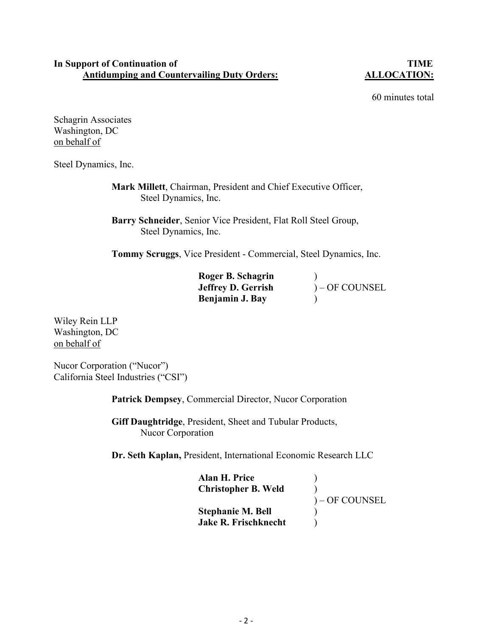### **In Support of Continuation of TIME Antidumping and Countervailing Duty Orders: ALLOCATION:**

60 minutes total

Schagrin Associates Washington, DC on behalf of

Steel Dynamics, Inc.

 **Mark Millett**, Chairman, President and Chief Executive Officer, Steel Dynamics, Inc.

 **Barry Schneider**, Senior Vice President, Flat Roll Steel Group, Steel Dynamics, Inc.

**Tommy Scruggs**, Vice President - Commercial, Steel Dynamics, Inc.

| Roger B. Schagrin         |                 |
|---------------------------|-----------------|
| <b>Jeffrey D. Gerrish</b> | $)-$ OF COUNSEL |
| Benjamin J. Bay           |                 |

Wiley Rein LLP Washington, DC on behalf of

Nucor Corporation ("Nucor") California Steel Industries ("CSI")

**Patrick Dempsey**, Commercial Director, Nucor Corporation

 **Giff Daughtridge**, President, Sheet and Tubular Products, Nucor Corporation

**Dr. Seth Kaplan,** President, International Economic Research LLC

| Alan H. Price<br><b>Christopher B. Weld</b> |                |
|---------------------------------------------|----------------|
|                                             | ) – OF COUNSEL |
| <b>Stephanie M. Bell</b>                    |                |
| <b>Jake R. Frischknecht</b>                 |                |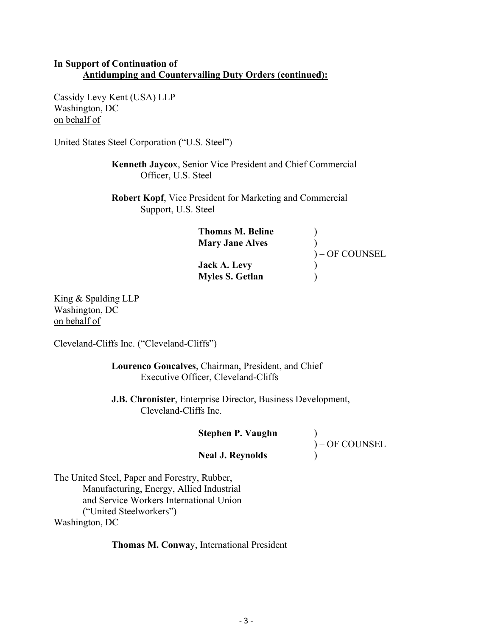# **In Support of Continuation of Antidumping and Countervailing Duty Orders (continued):**

Cassidy Levy Kent (USA) LLP Washington, DC on behalf of

United States Steel Corporation ("U.S. Steel")

**Kenneth Jayco**x, Senior Vice President and Chief Commercial Officer, U.S. Steel

**Robert Kopf**, Vice President for Marketing and Commercial Support, U.S. Steel

| ) – OF COUNSEL |
|----------------|
|                |
|                |
|                |

King & Spalding LLP Washington, DC on behalf of

Cleveland-Cliffs Inc. ("Cleveland-Cliffs")

 **Lourenco Goncalves**, Chairman, President, and Chief Executive Officer, Cleveland-Cliffs

 **J.B. Chronister**, Enterprise Director, Business Development, Cleveland-Cliffs Inc.

| <b>Stephen P. Vaughn</b> |                |
|--------------------------|----------------|
|                          | ) – OF COUNSEL |
| <b>Neal J. Reynolds</b>  |                |
|                          |                |

The United Steel, Paper and Forestry, Rubber, Manufacturing, Energy, Allied Industrial and Service Workers International Union ("United Steelworkers")

Washington, DC

**Thomas M. Conwa**y, International President